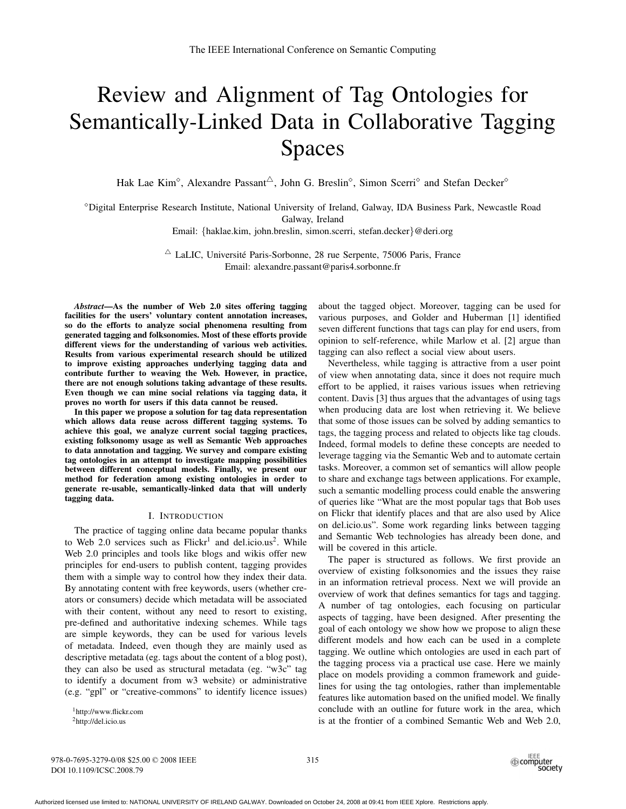# Review and Alignment of Tag Ontologies for Semantically-Linked Data in Collaborative Tagging Spaces

Hak Lae Kim<sup>®</sup>, Alexandre Passant<sup>△</sup>, John G. Breslin<sup>®</sup>, Simon Scerri® and Stefan Decker<sup>®</sup>

Digital Enterprise Research Institute, National University of Ireland, Galway, IDA Business Park, Newcastle Road Galway, Ireland

Email: {haklae.kim, john.breslin, simon.scerri, stefan.decker}@deri.org

 $\triangle$  LaLIC, Université Paris-Sorbonne, 28 rue Serpente, 75006 Paris, France Email: alexandre.passant@paris4.sorbonne.fr

*Abstract*—As the number of Web 2.0 sites offering tagging facilities for the users' voluntary content annotation increases, so do the efforts to analyze social phenomena resulting from generated tagging and folksonomies. Most of these efforts provide different views for the understanding of various web activities. Results from various experimental research should be utilized to improve existing approaches underlying tagging data and contribute further to weaving the Web. However, in practice, there are not enough solutions taking advantage of these results. Even though we can mine social relations via tagging data, it proves no worth for users if this data cannot be reused.

In this paper we propose a solution for tag data representation which allows data reuse across different tagging systems. To achieve this goal, we analyze current social tagging practices, existing folksonomy usage as well as Semantic Web approaches to data annotation and tagging. We survey and compare existing tag ontologies in an attempt to investigate mapping possibilities between different conceptual models. Finally, we present our method for federation among existing ontologies in order to generate re-usable, semantically-linked data that will underly tagging data.

## I. INTRODUCTION

The practice of tagging online data became popular thanks to Web 2.0 services such as  $Flickr^1$  and del.icio.us<sup>2</sup>. While Web 2.0 principles and tools like blogs and wikis offer new principles for end-users to publish content, tagging provides them with a simple way to control how they index their data. By annotating content with free keywords, users (whether creators or consumers) decide which metadata will be associated with their content, without any need to resort to existing, pre-defined and authoritative indexing schemes. While tags are simple keywords, they can be used for various levels of metadata. Indeed, even though they are mainly used as descriptive metadata (eg. tags about the content of a blog post), they can also be used as structural metadata (eg. "w3c" tag to identify a document from w3 website) or administrative (e.g. "gpl" or "creative-commons" to identify licence issues)

<sup>1</sup>http://www.flickr.com

<sup>2</sup>http://del.icio.us

about the tagged object. Moreover, tagging can be used for various purposes, and Golder and Huberman [1] identified seven different functions that tags can play for end users, from opinion to self-reference, while Marlow et al. [2] argue than tagging can also reflect a social view about users.

Nevertheless, while tagging is attractive from a user point of view when annotating data, since it does not require much effort to be applied, it raises various issues when retrieving content. Davis [3] thus argues that the advantages of using tags when producing data are lost when retrieving it. We believe that some of those issues can be solved by adding semantics to tags, the tagging process and related to objects like tag clouds. Indeed, formal models to define these concepts are needed to leverage tagging via the Semantic Web and to automate certain tasks. Moreover, a common set of semantics will allow people to share and exchange tags between applications. For example, such a semantic modelling process could enable the answering of queries like "What are the most popular tags that Bob uses on Flickr that identify places and that are also used by Alice on del.icio.us". Some work regarding links between tagging and Semantic Web technologies has already been done, and will be covered in this article.

The paper is structured as follows. We first provide an overview of existing folksonomies and the issues they raise in an information retrieval process. Next we will provide an overview of work that defines semantics for tags and tagging. A number of tag ontologies, each focusing on particular aspects of tagging, have been designed. After presenting the goal of each ontology we show how we propose to align these different models and how each can be used in a complete tagging. We outline which ontologies are used in each part of the tagging process via a practical use case. Here we mainly place on models providing a common framework and guidelines for using the tag ontologies, rather than implementable features like automation based on the unified model. We finally conclude with an outline for future work in the area, which is at the frontier of a combined Semantic Web and Web 2.0,

978-0-7695-3279-0/08 \$25.00 © 2008 IEEE DOI 10.1109/ICSC.2008.79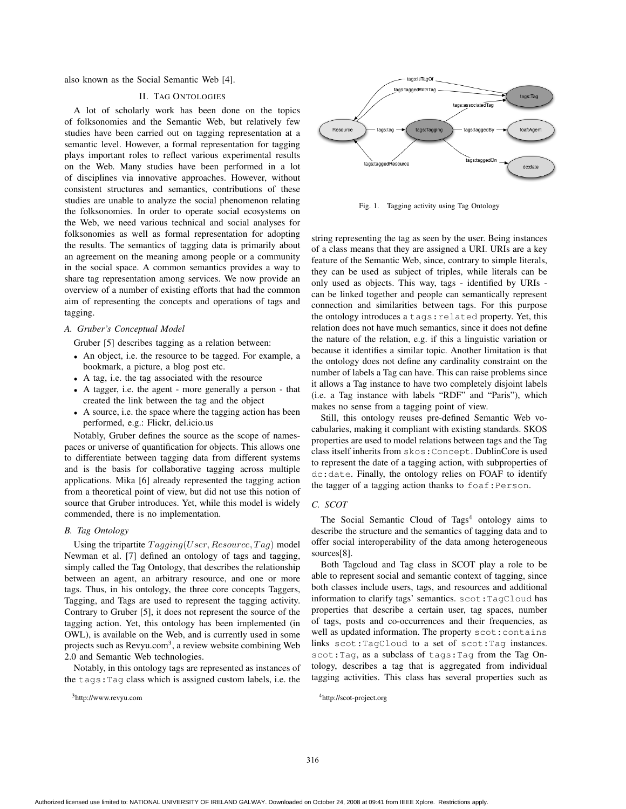also known as the Social Semantic Web [4].

## II. TAG ONTOLOGIES

A lot of scholarly work has been done on the topics of folksonomies and the Semantic Web, but relatively few studies have been carried out on tagging representation at a semantic level. However, a formal representation for tagging plays important roles to reflect various experimental results on the Web. Many studies have been performed in a lot of disciplines via innovative approaches. However, without consistent structures and semantics, contributions of these studies are unable to analyze the social phenomenon relating the folksonomies. In order to operate social ecosystems on the Web, we need various technical and social analyses for folksonomies as well as formal representation for adopting the results. The semantics of tagging data is primarily about an agreement on the meaning among people or a community in the social space. A common semantics provides a way to share tag representation among services. We now provide an overview of a number of existing efforts that had the common aim of representing the concepts and operations of tags and tagging.

## *A. Gruber's Conceptual Model*

Gruber [5] describes tagging as a relation between:

- An object, i.e. the resource to be tagged. For example, a bookmark, a picture, a blog post etc.
- A tag, i.e. the tag associated with the resource
- A tagger, i.e. the agent more generally a person that created the link between the tag and the object
- A source, i.e. the space where the tagging action has been performed, e.g.: Flickr, del.icio.us

Notably, Gruber defines the source as the scope of namespaces or universe of quantification for objects. This allows one to differentiate between tagging data from different systems and is the basis for collaborative tagging across multiple applications. Mika [6] already represented the tagging action from a theoretical point of view, but did not use this notion of source that Gruber introduces. Yet, while this model is widely commended, there is no implementation.

#### *B. Tag Ontology*

Using the tripartite  $Tagging(User, Resource, Tag)$  model Newman et al. [7] defined an ontology of tags and tagging, simply called the Tag Ontology, that describes the relationship between an agent, an arbitrary resource, and one or more tags. Thus, in his ontology, the three core concepts Taggers, Tagging, and Tags are used to represent the tagging activity. Contrary to Gruber [5], it does not represent the source of the tagging action. Yet, this ontology has been implemented (in OWL), is available on the Web, and is currently used in some projects such as Revyu.com<sup>3</sup>, a review website combining Web 2.0 and Semantic Web technologies.

Notably, in this ontology tags are represented as instances of the tags:Tag class which is assigned custom labels, i.e. the

<sup>3</sup>http://www.revyu.com



Fig. 1. Tagging activity using Tag Ontology

string representing the tag as seen by the user. Being instances of a class means that they are assigned a URI. URIs are a key feature of the Semantic Web, since, contrary to simple literals, they can be used as subject of triples, while literals can be only used as objects. This way, tags - identified by URIs can be linked together and people can semantically represent connection and similarities between tags. For this purpose the ontology introduces a tags:related property. Yet, this relation does not have much semantics, since it does not define the nature of the relation, e.g. if this a linguistic variation or because it identifies a similar topic. Another limitation is that the ontology does not define any cardinality constraint on the number of labels a Tag can have. This can raise problems since it allows a Tag instance to have two completely disjoint labels (i.e. a Tag instance with labels "RDF" and "Paris"), which makes no sense from a tagging point of view.

Still, this ontology reuses pre-defined Semantic Web vocabularies, making it compliant with existing standards. SKOS properties are used to model relations between tags and the Tag class itself inherits from skos:Concept. DublinCore is used to represent the date of a tagging action, with subproperties of dc:date. Finally, the ontology relies on FOAF to identify the tagger of a tagging action thanks to foaf:Person.

## *C. SCOT*

The Social Semantic Cloud of  $Tags<sup>4</sup>$  ontology aims to describe the structure and the semantics of tagging data and to offer social interoperability of the data among heterogeneous sources[8].

Both Tagcloud and Tag class in SCOT play a role to be able to represent social and semantic context of tagging, since both classes include users, tags, and resources and additional information to clarify tags' semantics. scot:TagCloud has properties that describe a certain user, tag spaces, number of tags, posts and co-occurrences and their frequencies, as well as updated information. The property scot: contains links scot:TagCloud to a set of scot:Tag instances. scot:Tag, as a subclass of tags:Tag from the Tag Ontology, describes a tag that is aggregated from individual tagging activities. This class has several properties such as

<sup>4</sup>http://scot-project.org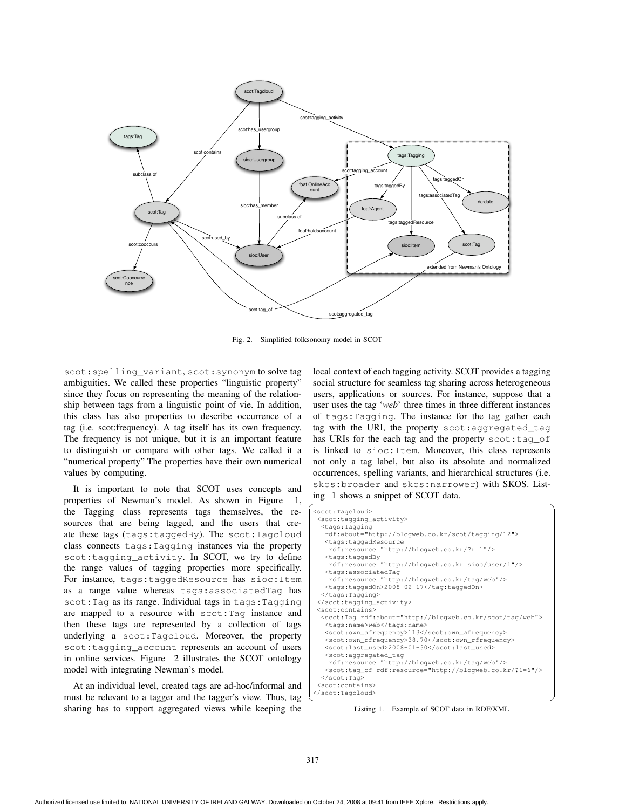

Fig. 2. Simplified folksonomy model in SCOT

scot:spelling\_variant, scot:synonym to solve tag ambiguities. We called these properties "linguistic property" since they focus on representing the meaning of the relationship between tags from a linguistic point of vie. In addition, this class has also properties to describe occurrence of a tag (i.e. scot:frequency). A tag itself has its own frequency. The frequency is not unique, but it is an important feature to distinguish or compare with other tags. We called it a "numerical property" The properties have their own numerical values by computing.

It is important to note that SCOT uses concepts and properties of Newman's model. As shown in Figure 1, the Tagging class represents tags themselves, the resources that are being tagged, and the users that create these tags (tags:taggedBy). The scot:Tagcloud class connects tags:Tagging instances via the property scot:tagging\_activity. In SCOT, we try to define the range values of tagging properties more specifically. For instance, tags:taggedResource has sioc:Item as a range value whereas tags:associatedTag has scot:Tag as its range. Individual tags in tags:Tagging are mapped to a resource with scot:Tag instance and then these tags are represented by a collection of tags underlying a scot:Tagcloud. Moreover, the property scot:tagging\_account represents an account of users in online services. Figure 2 illustrates the SCOT ontology model with integrating Newman's model.

At an individual level, created tags are ad-hoc/informal and must be relevant to a tagger and the tagger's view. Thus, tag sharing has to support aggregated views while keeping the

local context of each tagging activity. SCOT provides a tagging social structure for seamless tag sharing across heterogeneous users, applications or sources. For instance, suppose that a user uses the tag '*web*' three times in three different instances of tags:Tagging. The instance for the tag gather each tag with the URI, the property scot:aggregated\_tag has URIs for the each tag and the property scot: tag\_of is linked to sioc:Item. Moreover, this class represents not only a tag label, but also its absolute and normalized occurrences, spelling variants, and hierarchical structures (i.e. skos:broader and skos:narrower) with SKOS. Listing 1 shows a snippet of SCOT data.

| <scot:tagcloud></scot:tagcloud>                                      |
|----------------------------------------------------------------------|
| <scot:tagging_activity></scot:tagging_activity>                      |
| <tags:tagging< td=""></tags:tagging<>                                |
| rdf:about="http://bloqweb.co.kr/scot/tagging/12">                    |
| <tags:taggedresource< td=""></tags:taggedresource<>                  |
| rdf:resource="http://bloqweb.co.kr/?r=1"/>                           |
| <tags:taggedby< td=""></tags:taggedby<>                              |
| rdf:resource="http://bloqweb.co.kr=sioc/user/1"/>                    |
| <tags:associatedtag< td=""></tags:associatedtag<>                    |
| rdf:resource="http://bloqweb.co.kr/tag/web"/>                        |
| <tags:taggedon>2008-02-17</tags:taggedon>                            |
|                                                                      |
|                                                                      |
| <scot:contains></scot:contains>                                      |
| <scot:taq rdf:about="http://bloqweb.co.kr/scot/taq/web"></scot:taq>  |
| <tags:name>web</tags:name>                                           |
| <scot:own_afrequency>113</scot:own_afrequency>                       |
| <scot:own_rfrequency>38.70</scot:own_rfrequency>                     |
| <scot:last used="">2008-01-30</scot:last>                            |
| <scot:aqqreqated_taq< td=""></scot:aqqreqated_taq<>                  |
| rdf:resource="http://bloqweb.co.kr/taq/web"/>                        |
| <scot:taq_of rdf:resource="http://bloqweb.co.kr/?1=6"></scot:taq_of> |
| $\langle$ /scot:Taq>                                                 |
| <scot:contains></scot:contains>                                      |
|                                                                      |
|                                                                      |

Listing 1. Example of SCOT data in RDF/XML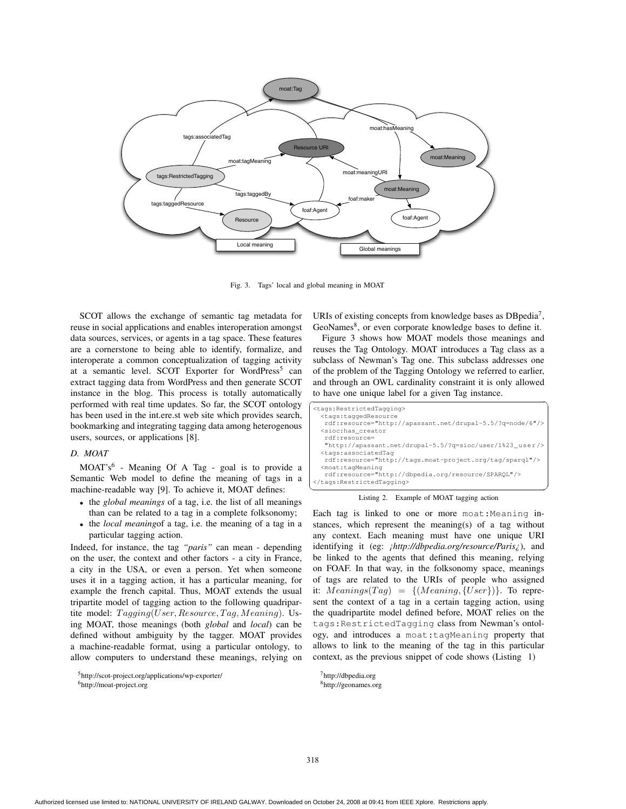

Fig. 3. Tags' local and global meaning in MOAT

SCOT allows the exchange of semantic tag metadata for reuse in social applications and enables interoperation amongst data sources, services, or agents in a tag space. These features are a cornerstone to being able to identify, formalize, and interoperate a common conceptualization of tagging activity at a semantic level. SCOT Exporter for WordPress<sup>5</sup> can extract tagging data from WordPress and then generate SCOT instance in the blog. This process is totally automatically performed with real time updates. So far, the SCOT ontology has been used in the int.ere.st web site which provides search, bookmarking and integrating tagging data among heterogenous users, sources, or applications [8].

# *D. MOAT*

MOAT's<sup>6</sup> - Meaning Of A Tag - goal is to provide a Semantic Web model to define the meaning of tags in a machine-readable way [9]. To achieve it, MOAT defines:

- the *global meanings* of a tag, i.e. the list of all meanings than can be related to a tag in a complete folksonomy;
- the *local meaning*of a tag, i.e. the meaning of a tag in a particular tagging action.

Indeed, for instance, the tag *"paris"* can mean - depending on the user, the context and other factors - a city in France, a city in the USA, or even a person. Yet when someone uses it in a tagging action, it has a particular meaning, for example the french capital. Thus, MOAT extends the usual tripartite model of tagging action to the following quadripartite model:  $Tagging(User, Resource, Tag, Meaning)$ . Using MOAT, those meanings (both *global* and *local*) can be defined without ambiguity by the tagger. MOAT provides a machine-readable format, using a particular ontology, to allow computers to understand these meanings, relying on

<sup>6</sup>http://moat-project.org

URIs of existing concepts from knowledge bases as DBpedia<sup>7</sup>, GeoNames<sup>8</sup>, or even corporate knowledge bases to define it.

Figure 3 shows how MOAT models those meanings and reuses the Tag Ontology. MOAT introduces a Tag class as a subclass of Newman's Tag one. This subclass addresses one of the problem of the Tagging Ontology we referred to earlier, and through an OWL cardinality constraint it is only allowed to have one unique label for a given Tag instance.

| <tags:restrictedtagging></tags:restrictedtagging>         |
|-----------------------------------------------------------|
| <tags:taggedresource< td=""></tags:taggedresource<>       |
| rdf:resource="http://apassant.net/drupal-5.5/?q=node/6"/> |
| <sioc:has creator<="" td=""></sioc:has>                   |
| rdf:resource=                                             |
| "http://apassant.net/drupal-5.5/?q=sioc/user/1%23 user/>  |
| <tags:associatedtag< td=""></tags:associatedtag<>         |
| rdf:resource="http://tags.moat-project.org/tag/spargl"/>  |
| <moat:taqmeaning< td=""></moat:taqmeaning<>               |
| rdf:resource="http://dbpedia.org/resource/SPAROL"/>       |
|                                                           |

Listing 2. Example of MOAT tagging action

Each tag is linked to one or more moat:Meaning instances, which represent the meaning(s) of a tag without any context. Each meaning must have one unique URI identifying it (eg: *¡http://dbpedia.org/resource/Paris¿*), and be linked to the agents that defined this meaning, relying on FOAF. In that way, in the folksonomy space, meanings of tags are related to the URIs of people who assigned it:  $Meanings(Tag) = \{ (Meaning, \{User\}) \}.$  To represent the context of a tag in a certain tagging action, using the quadripartite model defined before, MOAT relies on the tags:RestrictedTagging class from Newman's ontology, and introduces a moat:tagMeaning property that allows to link to the meaning of the tag in this particular context, as the previous snippet of code shows (Listing 1)

<sup>5</sup>http://scot-project.org/applications/wp-exporter/

<sup>7</sup>http://dbpedia.org <sup>8</sup>http://geonames.org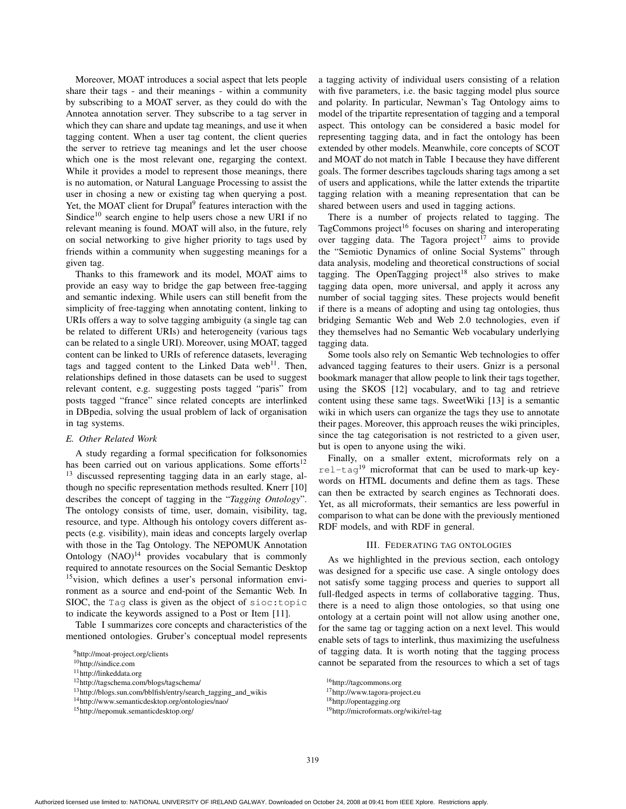Moreover, MOAT introduces a social aspect that lets people share their tags - and their meanings - within a community by subscribing to a MOAT server, as they could do with the Annotea annotation server. They subscribe to a tag server in which they can share and update tag meanings, and use it when tagging content. When a user tag content, the client queries the server to retrieve tag meanings and let the user choose which one is the most relevant one, regarging the context. While it provides a model to represent those meanings, there is no automation, or Natural Language Processing to assist the user in chosing a new or existing tag when querying a post. Yet, the MOAT client for Drupal<sup>9</sup> features interaction with the Sindice<sup>10</sup> search engine to help users chose a new URI if no relevant meaning is found. MOAT will also, in the future, rely on social networking to give higher priority to tags used by friends within a community when suggesting meanings for a given tag.

Thanks to this framework and its model, MOAT aims to provide an easy way to bridge the gap between free-tagging and semantic indexing. While users can still benefit from the simplicity of free-tagging when annotating content, linking to URIs offers a way to solve tagging ambiguity (a single tag can be related to different URIs) and heterogeneity (various tags can be related to a single URI). Moreover, using MOAT, tagged content can be linked to URIs of reference datasets, leveraging tags and tagged content to the Linked Data web<sup>11</sup>. Then, relationships defined in those datasets can be used to suggest relevant content, e.g. suggesting posts tagged "paris" from posts tagged "france" since related concepts are interlinked in DBpedia, solving the usual problem of lack of organisation in tag systems.

## *E. Other Related Work*

A study regarding a formal specification for folksonomies has been carried out on various applications. Some efforts<sup>12</sup> <sup>13</sup> discussed representing tagging data in an early stage, although no specific representation methods resulted. Knerr [10] describes the concept of tagging in the "*Tagging Ontology*". The ontology consists of time, user, domain, visibility, tag, resource, and type. Although his ontology covers different aspects (e.g. visibility), main ideas and concepts largely overlap with those in the Tag Ontology. The NEPOMUK Annotation Ontology  $(NAO)^{14}$  provides vocabulary that is commonly required to annotate resources on the Social Semantic Desktop <sup>15</sup>vision, which defines a user's personal information environment as a source and end-point of the Semantic Web. In SIOC, the Tag class is given as the object of sioc:topic to indicate the keywords assigned to a Post or Item [11].

Table I summarizes core concepts and characteristics of the mentioned ontologies. Gruber's conceptual model represents

<sup>11</sup>http://linkeddata.org

a tagging activity of individual users consisting of a relation with five parameters, i.e. the basic tagging model plus source and polarity. In particular, Newman's Tag Ontology aims to model of the tripartite representation of tagging and a temporal aspect. This ontology can be considered a basic model for representing tagging data, and in fact the ontology has been extended by other models. Meanwhile, core concepts of SCOT and MOAT do not match in Table I because they have different goals. The former describes tagclouds sharing tags among a set of users and applications, while the latter extends the tripartite tagging relation with a meaning representation that can be shared between users and used in tagging actions.

There is a number of projects related to tagging. The TagCommons project<sup>16</sup> focuses on sharing and interoperating over tagging data. The Tagora project<sup>17</sup> aims to provide the "Semiotic Dynamics of online Social Systems" through data analysis, modeling and theoretical constructions of social tagging. The OpenTagging project<sup>18</sup> also strives to make tagging data open, more universal, and apply it across any number of social tagging sites. These projects would benefit if there is a means of adopting and using tag ontologies, thus bridging Semantic Web and Web 2.0 technologies, even if they themselves had no Semantic Web vocabulary underlying tagging data.

Some tools also rely on Semantic Web technologies to offer advanced tagging features to their users. Gnizr is a personal bookmark manager that allow people to link their tags together, using the SKOS [12] vocabulary, and to tag and retrieve content using these same tags. SweetWiki [13] is a semantic wiki in which users can organize the tags they use to annotate their pages. Moreover, this approach reuses the wiki principles, since the tag categorisation is not restricted to a given user, but is open to anyone using the wiki.

Finally, on a smaller extent, microformats rely on a rel-tag<sup>19</sup> microformat that can be used to mark-up keywords on HTML documents and define them as tags. These can then be extracted by search engines as Technorati does. Yet, as all microformats, their semantics are less powerful in comparison to what can be done with the previously mentioned RDF models, and with RDF in general.

## III. FEDERATING TAG ONTOLOGIES

As we highlighted in the previous section, each ontology was designed for a specific use case. A single ontology does not satisfy some tagging process and queries to support all full-fledged aspects in terms of collaborative tagging. Thus, there is a need to align those ontologies, so that using one ontology at a certain point will not allow using another one, for the same tag or tagging action on a next level. This would enable sets of tags to interlink, thus maximizing the usefulness of tagging data. It is worth noting that the tagging process cannot be separated from the resources to which a set of tags

<sup>19</sup>http://microformats.org/wiki/rel-tag

<sup>9</sup>http://moat-project.org/clients

<sup>10</sup>http://sindice.com

<sup>12</sup>http://tagschema.com/blogs/tagschema/

<sup>&</sup>lt;sup>13</sup>http://blogs.sun.com/bblfish/entry/search\_tagging\_and\_wikis

<sup>14</sup>http://www.semanticdesktop.org/ontologies/nao/

<sup>15</sup>http://nepomuk.semanticdesktop.org/

<sup>16</sup>http://tagcommons.org

<sup>17</sup>http://www.tagora-project.eu

<sup>18</sup>http://opentagging.org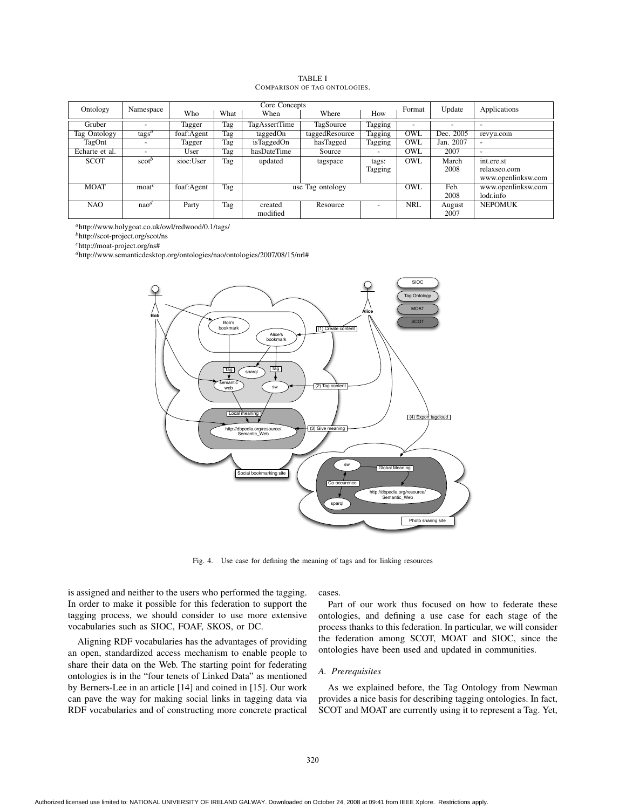TABLE I COMPARISON OF TAG ONTOLOGIES.

| Ontology       | Namespace               | Core Concepts |                  |                      |                  |                | Update     |           |                          |
|----------------|-------------------------|---------------|------------------|----------------------|------------------|----------------|------------|-----------|--------------------------|
|                |                         | Who           | What             | When                 | Where            | How            | Format     |           | Applications             |
| Gruber         |                         | Tagger        | Tag              | <b>TagAssertTime</b> | <b>TagSource</b> | <b>Tagging</b> | -          |           |                          |
| Tag Ontology   | $\text{tags}^a$         | foaf:Agent    | $Ta\overline{g}$ | taggedOn             | taggedResource   | Tagging        | <b>OWL</b> | Dec. 2005 | revyu.com                |
| TagOnt         |                         | Tagger        | Tag              | isTaggedOn           | hasTagged        | Tagging        | OWL        | Jan. 2007 | $\overline{\phantom{a}}$ |
| Echarte et al. |                         | User          | Tag              | hasDateTime          | Source           |                | OWL        | 2007      | $\overline{\phantom{a}}$ |
| <b>SCOT</b>    | $\operatorname{scot}^b$ | sioc:User     | Tag              | updated              | tagspace         | tags:          | <b>OWL</b> | March     | int.ere.st               |
|                |                         |               |                  |                      |                  | Tagging        |            | 2008      | relaxseo.com             |
|                |                         |               |                  |                      |                  |                |            |           | www.openlinksw.com       |
| <b>MOAT</b>    | $\text{m}$ oat $^c$     | foaf:Agent    | Tag              | use Tag ontology     |                  |                | OWL        | Feb.      | www.openlinksw.com       |
|                |                         |               |                  |                      |                  |                |            | 2008      | lodr.info                |
| <b>NAO</b>     | nao <sup>a</sup>        | Party         | Tag              | created              | Resource         |                | <b>NRL</b> | August    | <b>NEPOMUK</b>           |
|                |                         |               |                  | modified             |                  |                |            | 2007      |                          |

*<sup>a</sup>*http://www.holygoat.co.uk/owl/redwood/0.1/tags/

*<sup>b</sup>*http://scot-project.org/scot/ns

*<sup>c</sup>*http://moat-project.org/ns#

*<sup>d</sup>*http://www.semanticdesktop.org/ontologies/nao/ontologies/2007/08/15/nrl#



Fig. 4. Use case for defining the meaning of tags and for linking resources

is assigned and neither to the users who performed the tagging. In order to make it possible for this federation to support the tagging process, we should consider to use more extensive vocabularies such as SIOC, FOAF, SKOS, or DC.

Aligning RDF vocabularies has the advantages of providing an open, standardized access mechanism to enable people to share their data on the Web. The starting point for federating ontologies is in the "four tenets of Linked Data" as mentioned by Berners-Lee in an article [14] and coined in [15]. Our work can pave the way for making social links in tagging data via RDF vocabularies and of constructing more concrete practical cases.

Part of our work thus focused on how to federate these ontologies, and defining a use case for each stage of the process thanks to this federation. In particular, we will consider the federation among SCOT, MOAT and SIOC, since the ontologies have been used and updated in communities.

## *A. Prerequisites*

As we explained before, the Tag Ontology from Newman provides a nice basis for describing tagging ontologies. In fact, SCOT and MOAT are currently using it to represent a Tag. Yet,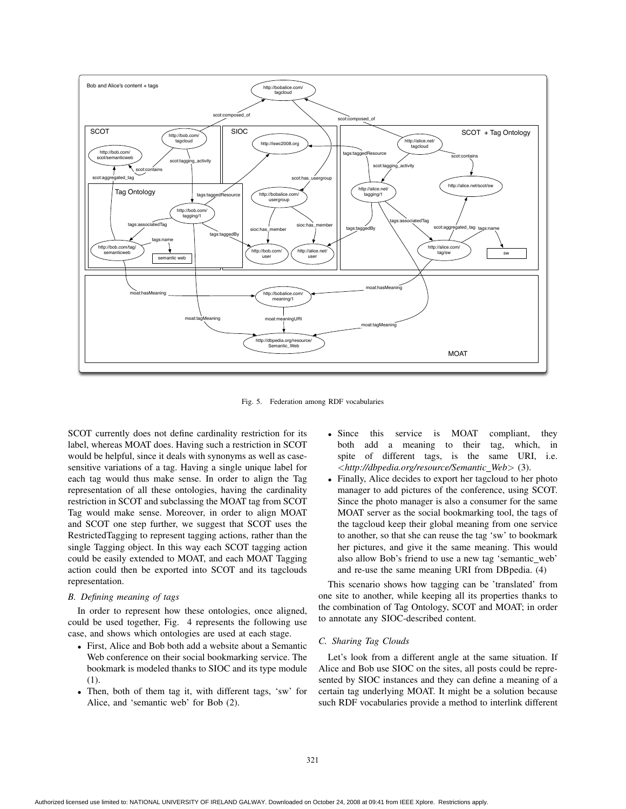

Fig. 5. Federation among RDF vocabularies

SCOT currently does not define cardinality restriction for its label, whereas MOAT does. Having such a restriction in SCOT would be helpful, since it deals with synonyms as well as casesensitive variations of a tag. Having a single unique label for each tag would thus make sense. In order to align the Tag representation of all these ontologies, having the cardinality restriction in SCOT and subclassing the MOAT tag from SCOT Tag would make sense. Moreover, in order to align MOAT and SCOT one step further, we suggest that SCOT uses the RestrictedTagging to represent tagging actions, rather than the single Tagging object. In this way each SCOT tagging action could be easily extended to MOAT, and each MOAT Tagging action could then be exported into SCOT and its tagclouds representation.

## *B. Defining meaning of tags*

In order to represent how these ontologies, once aligned, could be used together, Fig. 4 represents the following use case, and shows which ontologies are used at each stage.

- First, Alice and Bob both add a website about a Semantic Web conference on their social bookmarking service. The bookmark is modeled thanks to SIOC and its type module (1).
- Then, both of them tag it, with different tags, 'sw' for Alice, and 'semantic web' for Bob (2).
- Since this service is MOAT compliant, they both add a meaning to their tag, which, in spite of different tags, is the same URI, i.e. <*http://dbpedia.org/resource/Semantic Web*> (3).
- Finally, Alice decides to export her tageloud to her photo manager to add pictures of the conference, using SCOT. Since the photo manager is also a consumer for the same MOAT server as the social bookmarking tool, the tags of the tagcloud keep their global meaning from one service to another, so that she can reuse the tag 'sw' to bookmark her pictures, and give it the same meaning. This would also allow Bob's friend to use a new tag 'semantic web' and re-use the same meaning URI from DBpedia. (4)

This scenario shows how tagging can be 'translated' from one site to another, while keeping all its properties thanks to the combination of Tag Ontology, SCOT and MOAT; in order to annotate any SIOC-described content.

#### *C. Sharing Tag Clouds*

Let's look from a different angle at the same situation. If Alice and Bob use SIOC on the sites, all posts could be represented by SIOC instances and they can define a meaning of a certain tag underlying MOAT. It might be a solution because such RDF vocabularies provide a method to interlink different